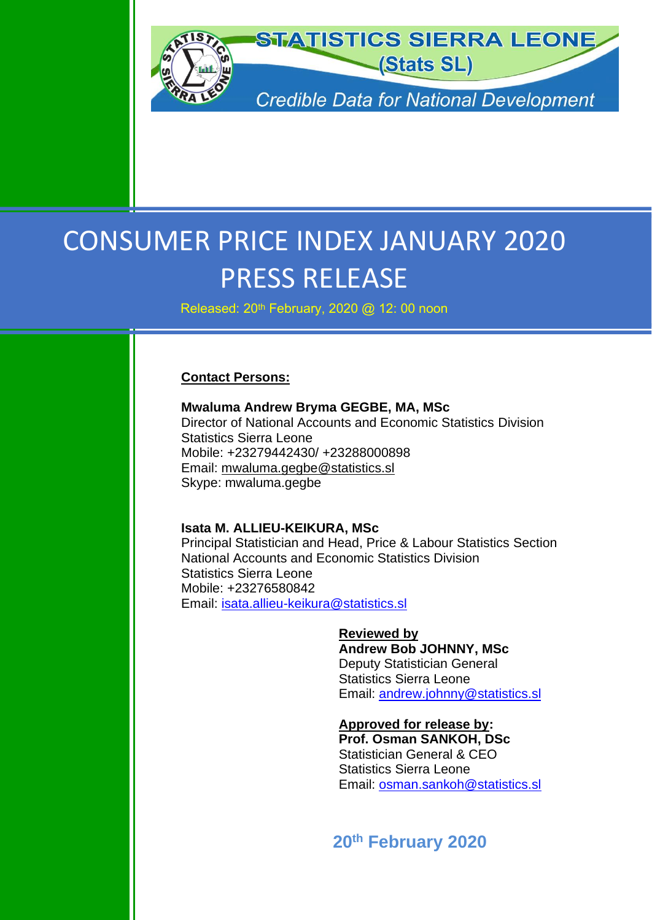

# CONSUMER PRICE INDEX JANUARY 2020 PRESS RELEASE

Released: 20<sup>th</sup> February, 2020 @ 12: 00 noon

### **Contact Persons:**

**Mwaluma Andrew Bryma GEGBE, MA, MSc** Director of National Accounts and Economic Statistics Division Statistics Sierra Leone Mobile: +23279442430/ +23288000898 Email: [mwaluma.gegbe@statistics.sl](mailto:mwaluma.gegbe@statistics.sl) Skype: mwaluma.gegbe

#### **Isata M. ALLIEU-KEIKURA, MSc**

Principal Statistician and Head, Price & Labour Statistics Section National Accounts and Economic Statistics Division Statistics Sierra Leone Mobile: +23276580842 Email: [isata.allieu-keikura@statistics.sl](mailto:isata.allieu-keikura@statistics.sl)

> **Reviewed by Andrew Bob JOHNNY, MSc** Deputy Statistician General Statistics Sierra Leone Email: [andrew.johnny@statistics.sl](mailto:andrew.johnny@statistics.sl)

> **Approved for release by: Prof. Osman SANKOH, DSc** Statistician General & CEO Statistics Sierra Leone Email: [osman.sankoh@statistics.sl](mailto:osman.sankoh@statistics.sl)

**20th February 2020**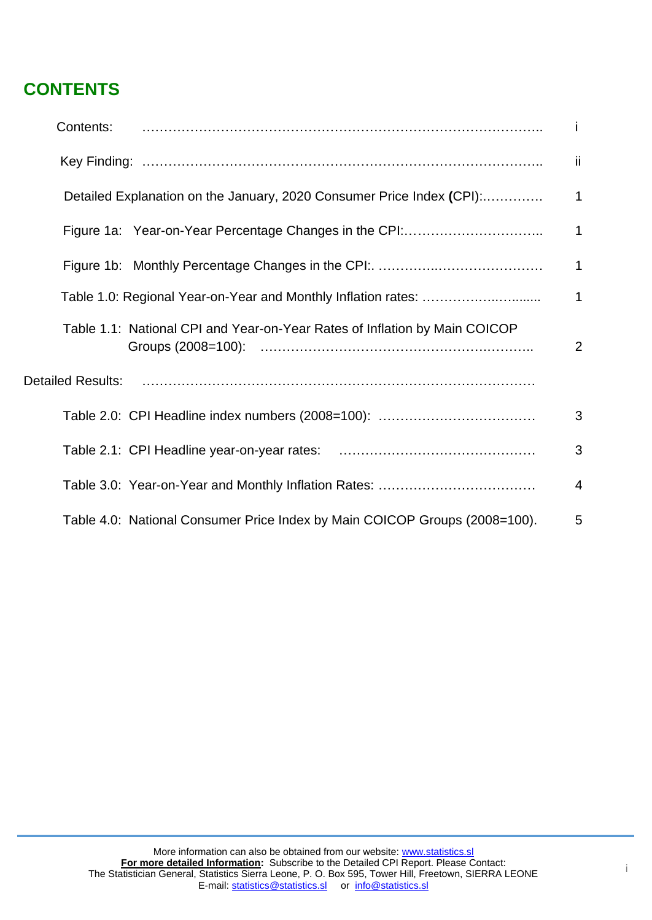# **CONTENTS**

| Contents:                                                                  | i.           |
|----------------------------------------------------------------------------|--------------|
|                                                                            | ii.          |
| Detailed Explanation on the January, 2020 Consumer Price Index (CPI):      | 1            |
|                                                                            | 1            |
|                                                                            | $\mathbf{1}$ |
|                                                                            | $\mathbf 1$  |
| Table 1.1: National CPI and Year-on-Year Rates of Inflation by Main COICOP | 2            |
|                                                                            |              |
|                                                                            | 3            |
|                                                                            | 3            |
|                                                                            | 4            |
| Table 4.0: National Consumer Price Index by Main COICOP Groups (2008=100). | 5            |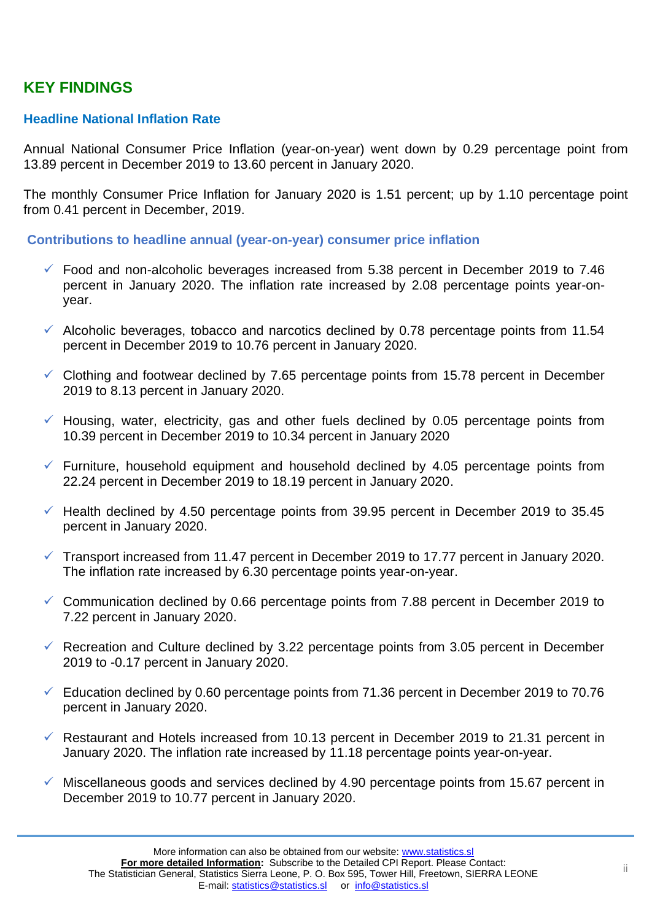# **KEY FINDINGS**

# **Headline National Inflation Rate**

Annual National Consumer Price Inflation (year-on-year) went down by 0.29 percentage point from 13.89 percent in December 2019 to 13.60 percent in January 2020.

The monthly Consumer Price Inflation for January 2020 is 1.51 percent; up by 1.10 percentage point from 0.41 percent in December, 2019.

**Contributions to headline annual (year-on-year) consumer price inflation**

- $\checkmark$  Food and non-alcoholic beverages increased from 5.38 percent in December 2019 to 7.46 percent in January 2020. The inflation rate increased by 2.08 percentage points year-onyear.
- $\checkmark$  Alcoholic beverages, tobacco and narcotics declined by 0.78 percentage points from 11.54 percent in December 2019 to 10.76 percent in January 2020.
- $\checkmark$  Clothing and footwear declined by 7.65 percentage points from 15.78 percent in December 2019 to 8.13 percent in January 2020.
- $\checkmark$  Housing, water, electricity, gas and other fuels declined by 0.05 percentage points from 10.39 percent in December 2019 to 10.34 percent in January 2020
- $\checkmark$  Furniture, household equipment and household declined by 4.05 percentage points from 22.24 percent in December 2019 to 18.19 percent in January 2020.
- $\checkmark$  Health declined by 4.50 percentage points from 39.95 percent in December 2019 to 35.45 percent in January 2020.
- $\checkmark$  Transport increased from 11.47 percent in December 2019 to 17.77 percent in January 2020. The inflation rate increased by 6.30 percentage points year-on-year.
- $\checkmark$  Communication declined by 0.66 percentage points from 7.88 percent in December 2019 to 7.22 percent in January 2020.
- $\checkmark$  Recreation and Culture declined by 3.22 percentage points from 3.05 percent in December 2019 to -0.17 percent in January 2020.
- $\checkmark$  Education declined by 0.60 percentage points from 71.36 percent in December 2019 to 70.76 percent in January 2020.
- $\checkmark$  Restaurant and Hotels increased from 10.13 percent in December 2019 to 21.31 percent in January 2020. The inflation rate increased by 11.18 percentage points year-on-year.
- $\checkmark$  Miscellaneous goods and services declined by 4.90 percentage points from 15.67 percent in December 2019 to 10.77 percent in January 2020.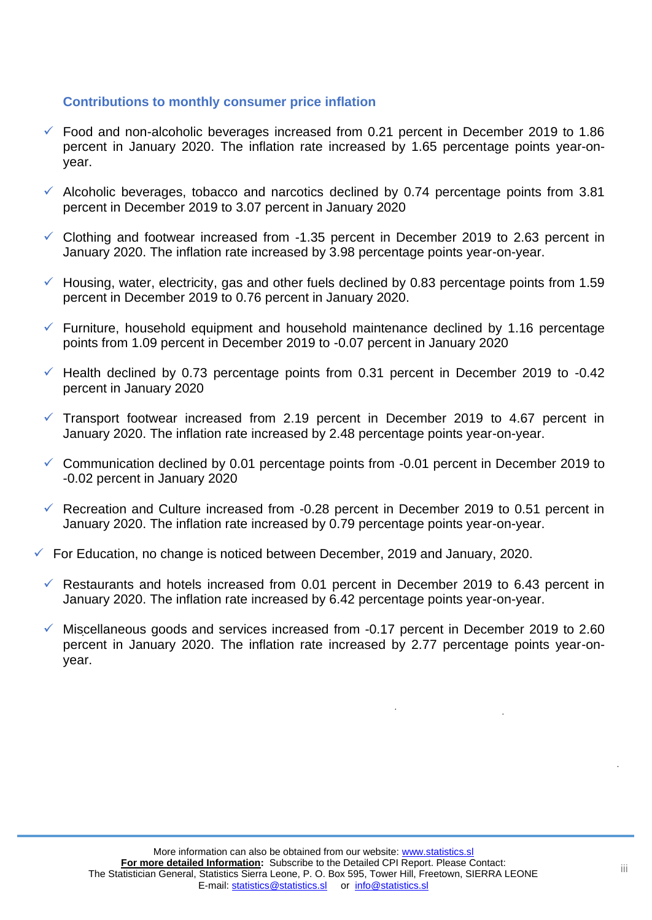## **Contributions to monthly consumer price inflation**

- $\checkmark$  Food and non-alcoholic beverages increased from 0.21 percent in December 2019 to 1.86 percent in January 2020. The inflation rate increased by 1.65 percentage points year-onyear.
- $\checkmark$  Alcoholic beverages, tobacco and narcotics declined by 0.74 percentage points from 3.81 percent in December 2019 to 3.07 percent in January 2020
- $\checkmark$  Clothing and footwear increased from -1.35 percent in December 2019 to 2.63 percent in January 2020. The inflation rate increased by 3.98 percentage points year-on-year.
- $\checkmark$  Housing, water, electricity, gas and other fuels declined by 0.83 percentage points from 1.59 percent in December 2019 to 0.76 percent in January 2020.
- $\checkmark$  Furniture, household equipment and household maintenance declined by 1.16 percentage points from 1.09 percent in December 2019 to -0.07 percent in January 2020
- $\checkmark$  Health declined by 0.73 percentage points from 0.31 percent in December 2019 to -0.42 percent in January 2020
- $\checkmark$  Transport footwear increased from 2.19 percent in December 2019 to 4.67 percent in January 2020. The inflation rate increased by 2.48 percentage points year-on-year.
- $\checkmark$  Communication declined by 0.01 percentage points from -0.01 percent in December 2019 to -0.02 percent in January 2020
- $\checkmark$  Recreation and Culture increased from -0.28 percent in December 2019 to 0.51 percent in January 2020. The inflation rate increased by 0.79 percentage points year-on-year.
- $\checkmark$  For Education, no change is noticed between December, 2019 and January, 2020.
	- $\checkmark$  Restaurants and hotels increased from 0.01 percent in December 2019 to 6.43 percent in January 2020. The inflation rate increased by 6.42 percentage points year-on-year.
	- $\checkmark$  Miscellaneous goods and services increased from -0.17 percent in December 2019 to 2.60 percent in January 2020. The inflation rate increased by 2.77 percentage points year-onyear.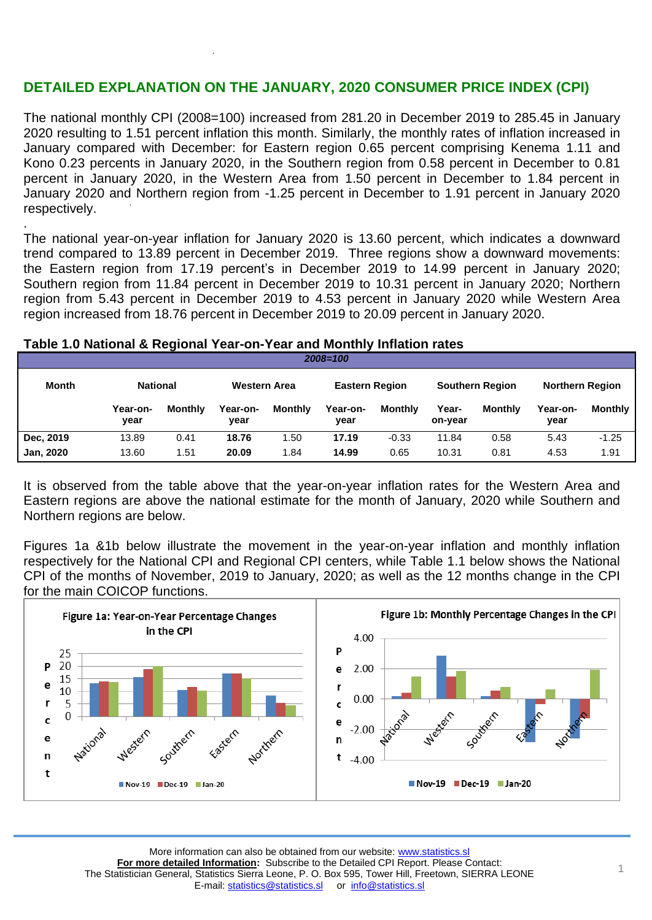# **DETAILED EXPLANATION ON THE JANUARY, 2020 CONSUMER PRICE INDEX (CPI)**

The national monthly CPI (2008=100) increased from 281.20 in December 2019 to 285.45 in January 2020 resulting to 1.51 percent inflation this month. Similarly, the monthly rates of inflation increased in January compared with December: for Eastern region 0.65 percent comprising Kenema 1.11 and Kono 0.23 percents in January 2020, in the Southern region from 0.58 percent in December to 0.81 percent in January 2020, in the Western Area from 1.50 percent in December to 1.84 percent in January 2020 and Northern region from -1.25 percent in December to 1.91 percent in January 2020 respectively.

. The national year-on-year inflation for January 2020 is 13.60 percent, which indicates a downward trend compared to 13.89 percent in December 2019. Three regions show a downward movements: the Eastern region from 17.19 percent's in December 2019 to 14.99 percent in January 2020; Southern region from 11.84 percent in December 2019 to 10.31 percent in January 2020; Northern region from 5.43 percent in December 2019 to 4.53 percent in January 2020 while Western Area region increased from 18.76 percent in December 2019 to 20.09 percent in January 2020.

### **Table 1.0 National & Regional Year-on-Year and Monthly Inflation rates**

| Month            | <b>National</b>  |         | Western Area     |                | <b>Eastern Region</b> |         |                  | <b>Southern Region</b> | <b>Northern Region</b> |                |  |  |
|------------------|------------------|---------|------------------|----------------|-----------------------|---------|------------------|------------------------|------------------------|----------------|--|--|
|                  | Year-on-<br>year | Monthly | Year-on-<br>year | <b>Monthly</b> | Year-on-<br>vear      | Monthly | Year-<br>on-year | <b>Monthly</b>         | Year-on-<br>vear       | <b>Monthly</b> |  |  |
| Dec. 2019        | 13.89            | 0.41    | 18.76            | .50            | 17.19                 | $-0.33$ | 11.84            | 0.58                   | 5.43                   | $-1.25$        |  |  |
| <b>Jan, 2020</b> | 13.60            | 1.51    | 20.09            | 1.84           | 14.99                 | 0.65    | 10.31            | 0.81                   | 4.53                   | 1.91           |  |  |

*2008=100*

It is observed from the table above that the year-on-year inflation rates for the Western Area and Eastern regions are above the national estimate for the month of January, 2020 while Southern and Northern regions are below.

Figures 1a &1b below illustrate the movement in the year-on-year inflation and monthly inflation respectively for the National CPI and Regional CPI centers, while Table 1.1 below shows the National CPI of the months of November, 2019 to January, 2020; as well as the 12 months change in the CPI for the main COICOP functions.

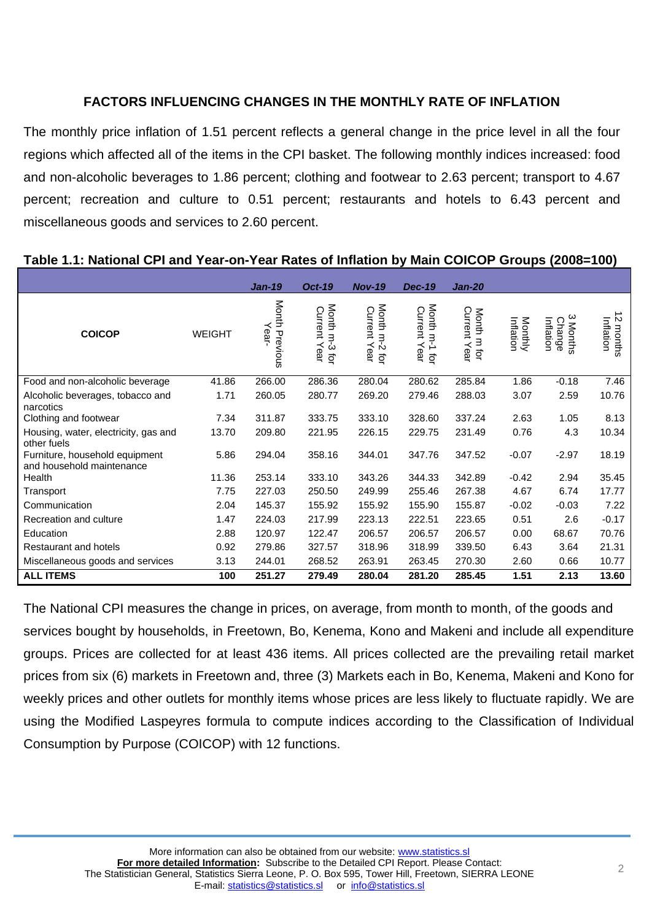# **FACTORS INFLUENCING CHANGES IN THE MONTHLY RATE OF INFLATION**

The monthly price inflation of 1.51 percent reflects a general change in the price level in all the four regions which affected all of the items in the CPI basket. The following monthly indices increased: food and non-alcoholic beverages to 1.86 percent; clothing and footwear to 2.63 percent; transport to 4.67 percent; recreation and culture to 0.51 percent; restaurants and hotels to 6.43 percent and miscellaneous goods and services to 2.60 percent.

|                                                             |               | <b>Jan-19</b>             | <b>Oct-19</b>                 | <b>Nov-19</b>                    | <b>Dec-19</b>                    | <b>Jan-20</b>                  |                      |                                                  |                                           |
|-------------------------------------------------------------|---------------|---------------------------|-------------------------------|----------------------------------|----------------------------------|--------------------------------|----------------------|--------------------------------------------------|-------------------------------------------|
| <b>COICOP</b>                                               | <b>WEIGHT</b> | Month<br>Year<br>Previous | Month m-3 tor<br>Current Year | Month m-2 for<br>Current<br>Year | Month m-1 for<br>Current<br>Year | Current<br>Month m for<br>Year | Monthly<br>Inflation | ω<br>Inflation<br><b>Change</b><br><b>Months</b> | ∸<br>$\mathcal{D}$<br>Inflation<br>months |
| Food and non-alcoholic beverage                             | 41.86         | 266.00                    | 286.36                        | 280.04                           | 280.62                           | 285.84                         | 1.86                 | $-0.18$                                          | 7.46                                      |
| Alcoholic beverages, tobacco and<br>narcotics               | 1.71          | 260.05                    | 280.77                        | 269.20                           | 279.46                           | 288.03                         | 3.07                 | 2.59                                             | 10.76                                     |
| Clothing and footwear                                       | 7.34          | 311.87                    | 333.75                        | 333.10                           | 328.60                           | 337.24                         | 2.63                 | 1.05                                             | 8.13                                      |
| Housing, water, electricity, gas and<br>other fuels         | 13.70         | 209.80                    | 221.95                        | 226.15                           | 229.75                           | 231.49                         | 0.76                 | 4.3                                              | 10.34                                     |
| Furniture, household equipment<br>and household maintenance | 5.86          | 294.04                    | 358.16                        | 344.01                           | 347.76                           | 347.52                         | $-0.07$              | $-2.97$                                          | 18.19                                     |
| Health                                                      | 11.36         | 253.14                    | 333.10                        | 343.26                           | 344.33                           | 342.89                         | $-0.42$              | 2.94                                             | 35.45                                     |
| Transport                                                   | 7.75          | 227.03                    | 250.50                        | 249.99                           | 255.46                           | 267.38                         | 4.67                 | 6.74                                             | 17.77                                     |
| Communication                                               | 2.04          | 145.37                    | 155.92                        | 155.92                           | 155.90                           | 155.87                         | $-0.02$              | $-0.03$                                          | 7.22                                      |
| Recreation and culture                                      | 1.47          | 224.03                    | 217.99                        | 223.13                           | 222.51                           | 223.65                         | 0.51                 | 2.6                                              | $-0.17$                                   |
| Education                                                   | 2.88          | 120.97                    | 122.47                        | 206.57                           | 206.57                           | 206.57                         | 0.00                 | 68.67                                            | 70.76                                     |
| Restaurant and hotels                                       | 0.92          | 279.86                    | 327.57                        | 318.96                           | 318.99                           | 339.50                         | 6.43                 | 3.64                                             | 21.31                                     |
| Miscellaneous goods and services                            | 3.13          | 244.01                    | 268.52                        | 263.91                           | 263.45                           | 270.30                         | 2.60                 | 0.66                                             | 10.77                                     |
| <b>ALL ITEMS</b>                                            | 100           | 251.27                    | 279.49                        | 280.04                           | 281.20                           | 285.45                         | 1.51                 | 2.13                                             | 13.60                                     |

### **Table 1.1: National CPI and Year-on-Year Rates of Inflation by Main COICOP Groups (2008=100)**

The National CPI measures the change in prices, on average, from month to month, of the goods and services bought by households, in Freetown, Bo, Kenema, Kono and Makeni and include all expenditure groups. Prices are collected for at least 436 items. All prices collected are the prevailing retail market prices from six (6) markets in Freetown and, three (3) Markets each in Bo, Kenema, Makeni and Kono for weekly prices and other outlets for monthly items whose prices are less likely to fluctuate rapidly. We are using the Modified Laspeyres formula to compute indices according to the Classification of Individual Consumption by Purpose (COICOP) with 12 functions.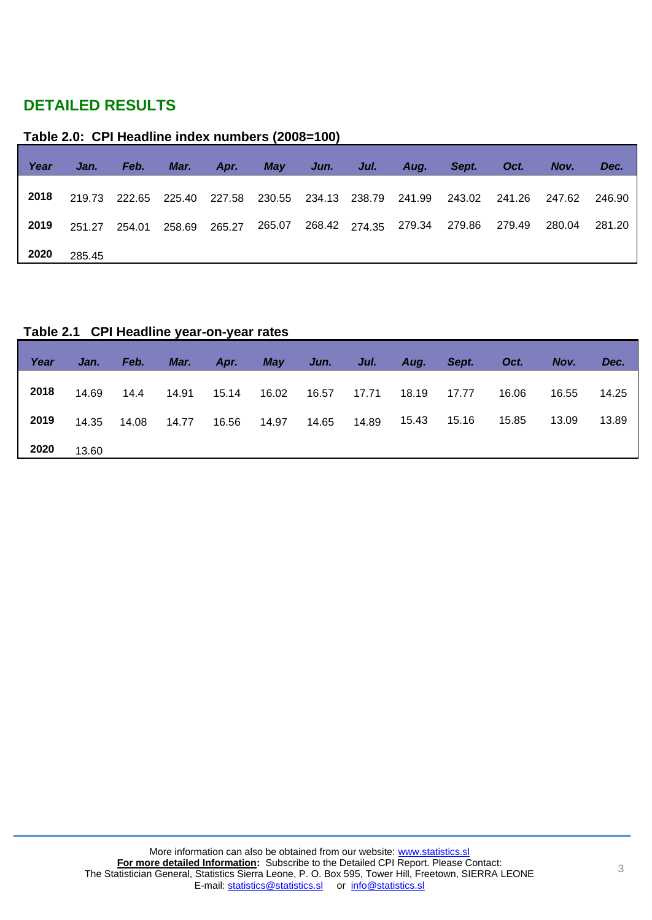# **DETAILED RESULTS**

## **Table 2.0: CPI Headline index numbers (2008=100)**

| Year | Jan.   | Feb. | Mar. | Apr. | <b>May</b> | Jun. | Jul. | Aug. | Sept.                                                                        | Oct.   | Nov.   | Dec.   |
|------|--------|------|------|------|------------|------|------|------|------------------------------------------------------------------------------|--------|--------|--------|
| 2018 |        |      |      |      |            |      |      |      | 219.73 222.65 225.40 227.58 230.55 234.13 238.79 241.99 243.02 241.26 247.62 |        |        | 246.90 |
| 2019 |        |      |      |      |            |      |      |      | 251.27  254.01  258.69  265.27  265.07  268.42  274.35  279.34  279.86       | 279.49 | 280.04 | 281.20 |
| 2020 | 285.45 |      |      |      |            |      |      |      |                                                                              |        |        |        |

## **Table 2.1 CPI Headline year-on-year rates**

| Year | Jan.  | Feb.  | Mar.  | Apr.  | <b>May</b> | Jun.  | Jul.  | Aug.  | Sept. | Oct.  | Nov.  | Dec.  |
|------|-------|-------|-------|-------|------------|-------|-------|-------|-------|-------|-------|-------|
| 2018 | 14.69 | 14.4  | 14.91 | 15.14 | 16.02      | 16.57 | 17.71 | 18.19 | 17.77 | 16.06 | 16.55 | 14.25 |
| 2019 | 14.35 | 14.08 | 14.77 | 16.56 | 14.97      | 14.65 | 14.89 | 15.43 | 15.16 | 15.85 | 13.09 | 13.89 |
| 2020 | 13.60 |       |       |       |            |       |       |       |       |       |       |       |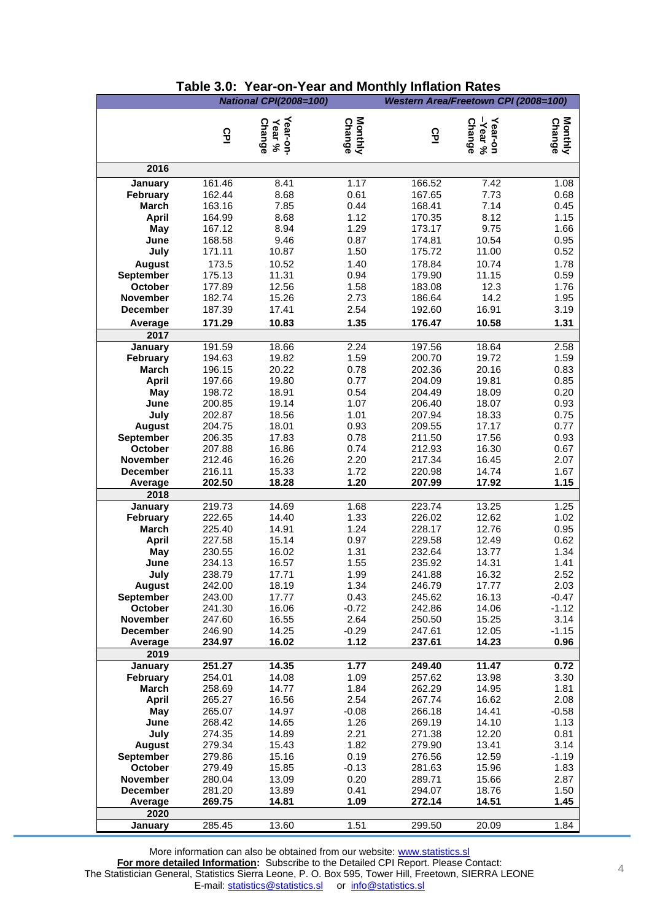|                                    |                  | <b>National CPI(2008=100)</b>       |                          | Western Area/Freetown CPI (2008=100) |                                     |                   |
|------------------------------------|------------------|-------------------------------------|--------------------------|--------------------------------------|-------------------------------------|-------------------|
|                                    |                  |                                     |                          |                                      |                                     |                   |
|                                    | 요                | Year-on-<br><b>Change</b><br>Year % | Monthly<br><b>Change</b> | 요                                    | Year-on<br>-Year %<br><b>Change</b> | Monthly<br>Change |
|                                    |                  |                                     |                          |                                      |                                     |                   |
| 2016                               |                  |                                     |                          |                                      |                                     |                   |
| January                            | 161.46           | 8.41                                | 1.17                     | 166.52                               | 7.42                                | 1.08              |
| <b>February</b>                    | 162.44           | 8.68                                | 0.61                     | 167.65                               | 7.73                                | 0.68              |
| <b>March</b>                       | 163.16           | 7.85                                | 0.44                     | 168.41                               | 7.14                                | 0.45              |
| <b>April</b>                       | 164.99           | 8.68                                | 1.12                     | 170.35                               | 8.12                                | 1.15              |
| May                                | 167.12           | 8.94                                | 1.29                     | 173.17                               | 9.75                                | 1.66              |
| June                               | 168.58           | 9.46                                | 0.87                     | 174.81                               | 10.54                               | 0.95              |
| July                               | 171.11           | 10.87                               | 1.50                     | 175.72                               | 11.00                               | 0.52              |
| <b>August</b><br>September         | 173.5<br>175.13  | 10.52<br>11.31                      | 1.40<br>0.94             | 178.84<br>179.90                     | 10.74<br>11.15                      | 1.78<br>0.59      |
| October                            | 177.89           | 12.56                               | 1.58                     | 183.08                               | 12.3                                | 1.76              |
| November                           | 182.74           | 15.26                               | 2.73                     | 186.64                               | 14.2                                | 1.95              |
| <b>December</b>                    | 187.39           | 17.41                               | 2.54                     | 192.60                               | 16.91                               | 3.19              |
| Average                            | 171.29           | 10.83                               | 1.35                     | 176.47                               | 10.58                               | 1.31              |
| 2017                               |                  |                                     |                          |                                      |                                     |                   |
| January                            | 191.59           | 18.66                               | 2.24                     | 197.56                               | 18.64                               | 2.58              |
| <b>February</b>                    | 194.63           | 19.82                               | 1.59                     | 200.70                               | 19.72                               | 1.59              |
| <b>March</b>                       | 196.15           | 20.22                               | 0.78                     | 202.36                               | 20.16                               | 0.83              |
| <b>April</b>                       | 197.66           | 19.80                               | 0.77                     | 204.09                               | 19.81                               | 0.85              |
| May<br>June                        | 198.72<br>200.85 | 18.91<br>19.14                      | 0.54<br>1.07             | 204.49<br>206.40                     | 18.09<br>18.07                      | 0.20<br>0.93      |
| July                               | 202.87           | 18.56                               | 1.01                     | 207.94                               | 18.33                               | 0.75              |
| <b>August</b>                      | 204.75           | 18.01                               | 0.93                     | 209.55                               | 17.17                               | 0.77              |
| September                          | 206.35           | 17.83                               | 0.78                     | 211.50                               | 17.56                               | 0.93              |
| October                            | 207.88           | 16.86                               | 0.74                     | 212.93                               | 16.30                               | 0.67              |
| November                           | 212.46           | 16.26                               | 2.20                     | 217.34                               | 16.45                               | 2.07              |
| <b>December</b>                    | 216.11           | 15.33                               | 1.72                     | 220.98                               | 14.74                               | 1.67              |
| Average<br>2018                    | 202.50           | 18.28                               | 1.20                     | 207.99                               | 17.92                               | 1.15              |
| January                            | 219.73           | 14.69                               | 1.68                     | 223.74                               | 13.25                               | 1.25              |
| February                           | 222.65           | 14.40                               | 1.33                     | 226.02                               | 12.62                               | 1.02              |
| March                              | 225.40           | 14.91                               | 1.24                     | 228.17                               | 12.76                               | 0.95              |
| <b>April</b>                       | 227.58           | 15.14                               | 0.97                     | 229.58                               | 12.49                               | 0.62              |
| May                                | 230.55           | 16.02                               | 1.31                     | 232.64                               | 13.77                               | 1.34              |
| June                               | 234.13           | 16.57                               | 1.55                     | 235.92                               | 14.31                               | 1.41              |
| July                               | 238.79           | 17.71                               | 1.99                     | 241.88                               | 16.32                               | 2.52              |
| <b>August</b><br><b>September</b>  | 242.00<br>243.00 | 18.19<br>17.77                      | 1.34<br>0.43             | 246.79<br>245.62                     | 17.77<br>16.13                      | 2.03<br>$-0.47$   |
| October                            | 241.30           | 16.06                               | $-0.72$                  | 242.86                               | 14.06                               | $-1.12$           |
| November                           | 247.60           | 16.55                               | 2.64                     | 250.50                               | 15.25                               | 3.14              |
| <b>December</b>                    | 246.90           | 14.25                               | $-0.29$                  | 247.61                               | 12.05                               | $-1.15$           |
| Average                            | 234.97           | 16.02                               | 1.12                     | 237.61                               | 14.23                               | 0.96              |
| 2019                               |                  |                                     |                          |                                      |                                     |                   |
| January                            | 251.27           | 14.35                               | 1.77                     | 249.40                               | 11.47                               | 0.72              |
| <b>February</b><br>March           | 254.01<br>258.69 | 14.08<br>14.77                      | 1.09<br>1.84             | 257.62<br>262.29                     | 13.98<br>14.95                      | 3.30<br>1.81      |
| <b>April</b>                       | 265.27           | 16.56                               | 2.54                     | 267.74                               | 16.62                               | 2.08              |
| May                                | 265.07           | 14.97                               | $-0.08$                  | 266.18                               | 14.41                               | $-0.58$           |
| June                               | 268.42           | 14.65                               | 1.26                     | 269.19                               | 14.10                               | 1.13              |
| July                               | 274.35           | 14.89                               | 2.21                     | 271.38                               | 12.20                               | 0.81              |
| <b>August</b>                      | 279.34           | 15.43                               | 1.82                     | 279.90                               | 13.41                               | 3.14              |
| <b>September</b>                   | 279.86           | 15.16                               | 0.19                     | 276.56                               | 12.59                               | $-1.19$           |
| October                            | 279.49           | 15.85                               | $-0.13$                  | 281.63                               | 15.96                               | 1.83              |
| <b>November</b><br><b>December</b> | 280.04<br>281.20 | 13.09<br>13.89                      | 0.20<br>0.41             | 289.71<br>294.07                     | 15.66<br>18.76                      | 2.87<br>1.50      |
| Average                            | 269.75           | 14.81                               | 1.09                     | 272.14                               | 14.51                               | 1.45              |
| 2020                               |                  |                                     |                          |                                      |                                     |                   |
| January                            | 285.45           | 13.60                               | 1.51                     | 299.50                               | 20.09                               | 1.84              |

### **Table 3.0: Year-on-Year and Monthly Inflation Rates**

More information can also be obtained from our website: www.statistics.sl **For more detailed Information:** Subscribe to the Detailed CPI Report. Please Contact: The Statistician General, Statistics Sierra Leone, P. O. Box 595, Tower Hill, Freetown, SIERRA LEONE E-mail: [statistics@statistics.sl](mailto:statistics@statistics.sl) or [info@statistics.sl](mailto:info@statistics.sl)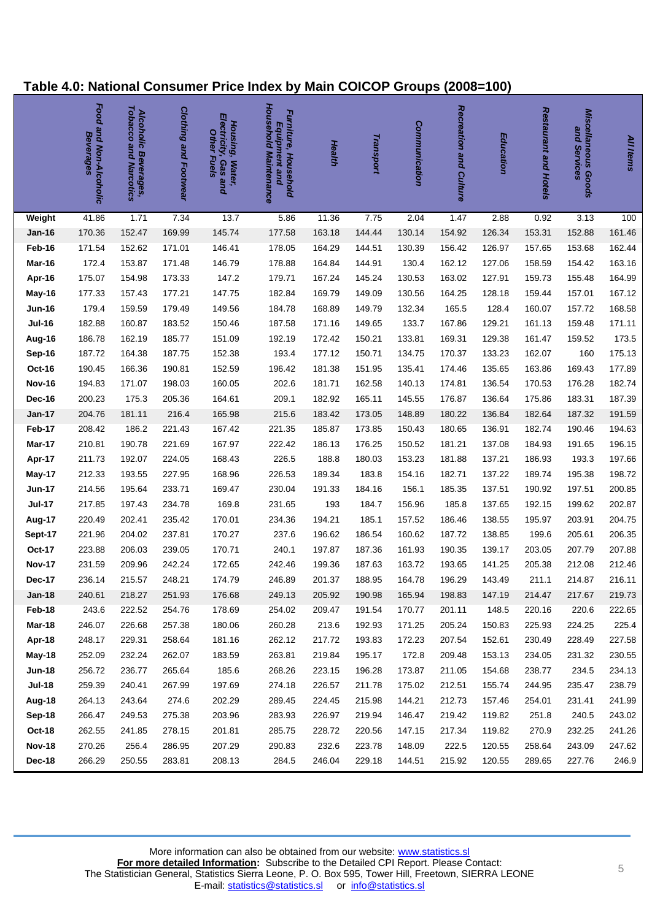# **Table 4.0: National Consumer Price Index by Main COICOP Groups (2008=100)**

|               | Food and Non-Alcoholic<br>Beverages | Tobacco and Narcotics<br>Alcoholic Beverages, | Clothing and Footwear | Electricity,<br>Housing, Water,<br><b>Other Fuels</b><br><b>Gasand</b> | Household Maintenance<br>Furniture, Household<br>Equipment and | Health | Transport | Communication | Recreation and Culture | Education | Restaurant and Hotels | <b>Miscellaneous Goods</b><br>and Services | All Items |
|---------------|-------------------------------------|-----------------------------------------------|-----------------------|------------------------------------------------------------------------|----------------------------------------------------------------|--------|-----------|---------------|------------------------|-----------|-----------------------|--------------------------------------------|-----------|
| Weight        | 41.86                               | 1.71                                          | 7.34                  | 13.7                                                                   | 5.86                                                           | 11.36  | 7.75      | 2.04          | 1.47                   | 2.88      | 0.92                  | 3.13                                       | 100       |
| <b>Jan-16</b> | 170.36                              | 152.47                                        | 169.99                | 145.74                                                                 | 177.58                                                         | 163.18 | 144.44    | 130.14        | 154.92                 | 126.34    | 153.31                | 152.88                                     | 161.46    |
| Feb-16        | 171.54                              | 152.62                                        | 171.01                | 146.41                                                                 | 178.05                                                         | 164.29 | 144.51    | 130.39        | 156.42                 | 126.97    | 157.65                | 153.68                                     | 162.44    |
| Mar-16        | 172.4                               | 153.87                                        | 171.48                | 146.79                                                                 | 178.88                                                         | 164.84 | 144.91    | 130.4         | 162.12                 | 127.06    | 158.59                | 154.42                                     | 163.16    |
| Apr-16        | 175.07                              | 154.98                                        | 173.33                | 147.2                                                                  | 179.71                                                         | 167.24 | 145.24    | 130.53        | 163.02                 | 127.91    | 159.73                | 155.48                                     | 164.99    |
| May-16        | 177.33                              | 157.43                                        | 177.21                | 147.75                                                                 | 182.84                                                         | 169.79 | 149.09    | 130.56        | 164.25                 | 128.18    | 159.44                | 157.01                                     | 167.12    |
| <b>Jun-16</b> | 179.4                               | 159.59                                        | 179.49                | 149.56                                                                 | 184.78                                                         | 168.89 | 149.79    | 132.34        | 165.5                  | 128.4     | 160.07                | 157.72                                     | 168.58    |
| <b>Jul-16</b> | 182.88                              | 160.87                                        | 183.52                | 150.46                                                                 | 187.58                                                         | 171.16 | 149.65    | 133.7         | 167.86                 | 129.21    | 161.13                | 159.48                                     | 171.11    |
| Aug-16        | 186.78                              | 162.19                                        | 185.77                | 151.09                                                                 | 192.19                                                         | 172.42 | 150.21    | 133.81        | 169.31                 | 129.38    | 161.47                | 159.52                                     | 173.5     |
| Sep-16        | 187.72                              | 164.38                                        | 187.75                | 152.38                                                                 | 193.4                                                          | 177.12 | 150.71    | 134.75        | 170.37                 | 133.23    | 162.07                | 160                                        | 175.13    |
| <b>Oct-16</b> | 190.45                              | 166.36                                        | 190.81                | 152.59                                                                 | 196.42                                                         | 181.38 | 151.95    | 135.41        | 174.46                 | 135.65    | 163.86                | 169.43                                     | 177.89    |
| <b>Nov-16</b> | 194.83                              | 171.07                                        | 198.03                | 160.05                                                                 | 202.6                                                          | 181.71 | 162.58    | 140.13        | 174.81                 | 136.54    | 170.53                | 176.28                                     | 182.74    |
| <b>Dec-16</b> | 200.23                              | 175.3                                         | 205.36                | 164.61                                                                 | 209.1                                                          | 182.92 | 165.11    | 145.55        | 176.87                 | 136.64    | 175.86                | 183.31                                     | 187.39    |
| <b>Jan-17</b> | 204.76                              | 181.11                                        | 216.4                 | 165.98                                                                 | 215.6                                                          | 183.42 | 173.05    | 148.89        | 180.22                 | 136.84    | 182.64                | 187.32                                     | 191.59    |
| Feb-17        | 208.42                              | 186.2                                         | 221.43                | 167.42                                                                 | 221.35                                                         | 185.87 | 173.85    | 150.43        | 180.65                 | 136.91    | 182.74                | 190.46                                     | 194.63    |
| <b>Mar-17</b> | 210.81                              | 190.78                                        | 221.69                | 167.97                                                                 | 222.42                                                         | 186.13 | 176.25    | 150.52        | 181.21                 | 137.08    | 184.93                | 191.65                                     | 196.15    |
| Apr-17        | 211.73                              | 192.07                                        | 224.05                | 168.43                                                                 | 226.5                                                          | 188.8  | 180.03    | 153.23        | 181.88                 | 137.21    | 186.93                | 193.3                                      | 197.66    |
| May-17        | 212.33                              | 193.55                                        | 227.95                | 168.96                                                                 | 226.53                                                         | 189.34 | 183.8     | 154.16        | 182.71                 | 137.22    | 189.74                | 195.38                                     | 198.72    |
| <b>Jun-17</b> | 214.56                              | 195.64                                        | 233.71                | 169.47                                                                 | 230.04                                                         | 191.33 | 184.16    | 156.1         | 185.35                 | 137.51    | 190.92                | 197.51                                     | 200.85    |
| <b>Jul-17</b> | 217.85                              | 197.43                                        | 234.78                | 169.8                                                                  | 231.65                                                         | 193    | 184.7     | 156.96        | 185.8                  | 137.65    | 192.15                | 199.62                                     | 202.87    |
| Aug-17        | 220.49                              | 202.41                                        | 235.42                | 170.01                                                                 | 234.36                                                         | 194.21 | 185.1     | 157.52        | 186.46                 | 138.55    | 195.97                | 203.91                                     | 204.75    |
| Sept-17       | 221.96                              | 204.02                                        | 237.81                | 170.27                                                                 | 237.6                                                          | 196.62 | 186.54    | 160.62        | 187.72                 | 138.85    | 199.6                 | 205.61                                     | 206.35    |
| Oct-17        | 223.88                              | 206.03                                        | 239.05                | 170.71                                                                 | 240.1                                                          | 197.87 | 187.36    | 161.93        | 190.35                 | 139.17    | 203.05                | 207.79                                     | 207.88    |
| <b>Nov-17</b> | 231.59                              | 209.96                                        | 242.24                | 172.65                                                                 | 242.46                                                         | 199.36 | 187.63    | 163.72        | 193.65                 | 141.25    | 205.38                | 212.08                                     | 212.46    |
| <b>Dec-17</b> | 236.14                              | 215.57                                        | 248.21                | 174.79                                                                 | 246.89                                                         | 201.37 | 188.95    | 164.78        | 196.29                 | 143.49    | 211.1                 | 214.87                                     | 216.11    |
| <b>Jan-18</b> | 240.61                              | 218.27                                        | 251.93                | 176.68                                                                 | 249.13                                                         | 205.92 | 190.98    | 165.94        | 198.83                 | 147.19    | 214.47                | 217.67                                     | 219.73    |
| Feb-18        | 243.6                               | 222.52                                        | 254.76                | 178.69                                                                 | 254.02                                                         | 209.47 | 191.54    | 170.77        | 201.11                 | 148.5     | 220.16                | 220.6                                      | 222.65    |
| <b>Mar-18</b> | 246.07                              | 226.68                                        | 257.38                | 180.06                                                                 | 260.28                                                         | 213.6  | 192.93    | 171.25        | 205.24                 | 150.83    | 225.93                | 224.25                                     | 225.4     |
| Apr-18        | 248.17                              | 229.31                                        | 258.64                | 181.16                                                                 | 262.12                                                         | 217.72 | 193.83    | 172.23        | 207.54                 | 152.61    | 230.49                | 228.49                                     | 227.58    |
| May-18        | 252.09                              | 232.24                                        | 262.07                | 183.59                                                                 | 263.81                                                         | 219.84 | 195.17    | 172.8         | 209.48                 | 153.13    | 234.05                | 231.32                                     | 230.55    |
| <b>Jun-18</b> | 256.72                              | 236.77                                        | 265.64                | 185.6                                                                  | 268.26                                                         | 223.15 | 196.28    | 173.87        | 211.05                 | 154.68    | 238.77                | 234.5                                      | 234.13    |
| <b>Jul-18</b> | 259.39                              | 240.41                                        | 267.99                | 197.69                                                                 | 274.18                                                         | 226.57 | 211.78    | 175.02        | 212.51                 | 155.74    | 244.95                | 235.47                                     | 238.79    |
| Aug-18        | 264.13                              | 243.64                                        | 274.6                 | 202.29                                                                 | 289.45                                                         | 224.45 | 215.98    | 144.21        | 212.73                 | 157.46    | 254.01                | 231.41                                     | 241.99    |
| Sep-18        | 266.47                              | 249.53                                        | 275.38                | 203.96                                                                 | 283.93                                                         | 226.97 | 219.94    | 146.47        | 219.42                 | 119.82    | 251.8                 | 240.5                                      | 243.02    |
| <b>Oct-18</b> | 262.55                              | 241.85                                        | 278.15                | 201.81                                                                 | 285.75                                                         | 228.72 | 220.56    | 147.15        | 217.34                 | 119.82    | 270.9                 | 232.25                                     | 241.26    |
| <b>Nov-18</b> | 270.26                              | 256.4                                         | 286.95                | 207.29                                                                 | 290.83                                                         | 232.6  | 223.78    | 148.09        | 222.5                  | 120.55    | 258.64                | 243.09                                     | 247.62    |
| Dec-18        | 266.29                              | 250.55                                        | 283.81                | 208.13                                                                 | 284.5                                                          | 246.04 | 229.18    | 144.51        | 215.92                 | 120.55    | 289.65                | 227.76                                     | 246.9     |